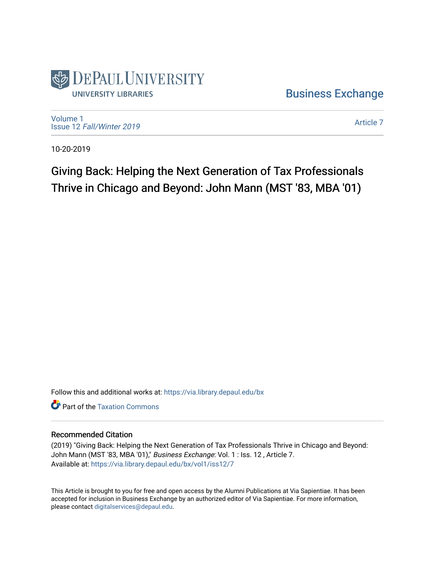

[Business Exchange](https://via.library.depaul.edu/bx) 

[Volume 1](https://via.library.depaul.edu/bx/vol1) Issue 12 [Fall/Winter 2019](https://via.library.depaul.edu/bx/vol1/iss12) 

[Article 7](https://via.library.depaul.edu/bx/vol1/iss12/7) 

10-20-2019

Giving Back: Helping the Next Generation of Tax Professionals Thrive in Chicago and Beyond: John Mann (MST '83, MBA '01)

Follow this and additional works at: [https://via.library.depaul.edu/bx](https://via.library.depaul.edu/bx?utm_source=via.library.depaul.edu%2Fbx%2Fvol1%2Fiss12%2F7&utm_medium=PDF&utm_campaign=PDFCoverPages) 

**C**<sup> $\bullet$ </sup> Part of the Taxation Commons

## Recommended Citation

(2019) "Giving Back: Helping the Next Generation of Tax Professionals Thrive in Chicago and Beyond: John Mann (MST '83, MBA '01)," Business Exchange: Vol. 1 : Iss. 12, Article 7. Available at: [https://via.library.depaul.edu/bx/vol1/iss12/7](https://via.library.depaul.edu/bx/vol1/iss12/7?utm_source=via.library.depaul.edu%2Fbx%2Fvol1%2Fiss12%2F7&utm_medium=PDF&utm_campaign=PDFCoverPages)

This Article is brought to you for free and open access by the Alumni Publications at Via Sapientiae. It has been accepted for inclusion in Business Exchange by an authorized editor of Via Sapientiae. For more information, please contact [digitalservices@depaul.edu.](mailto:digitalservices@depaul.edu)